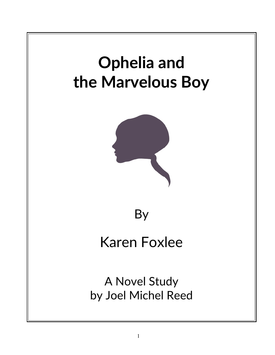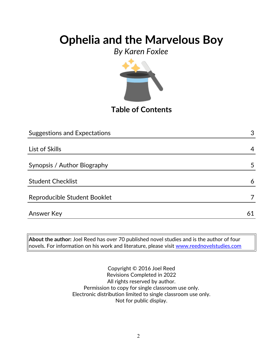*By Karen Foxlee*



**Table of Contents**

| <b>Suggestions and Expectations</b> | 3  |
|-------------------------------------|----|
|                                     |    |
| List of Skills                      | 4  |
|                                     |    |
| Synopsis / Author Biography         | 5  |
|                                     |    |
| <b>Student Checklist</b>            | 6  |
|                                     |    |
| Reproducible Student Booklet        |    |
|                                     |    |
| <b>Answer Key</b>                   | 61 |

**About the author:** Joel Reed has over 70 published novel studies and is the author of four  $|$ novels. For information on his work and literature, please visit  $\overline{\text{www.reednovelstudies.com}}$ 

> Copyright © 2016 Joel Reed Revisions Completed in 2022 All rights reserved by author. Permission to copy for single classroom use only. Electronic distribution limited to single classroom use only. Not for public display.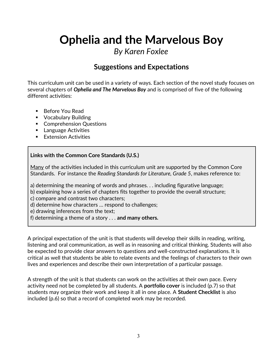### *By Karen Foxlee*

### **Suggestions and Expectations**

This curriculum unit can be used in a variety of ways. Each section of the novel study focuses on several chapters of *Ophelia and The Marvelous Boy* and is comprised of five of the following different activities:

- Before You Read
- **•** Vocabulary Building
- **Comprehension Questions**
- **Language Activities**
- **Extension Activities**

#### **Links with the Common Core Standards (U.S.)**

Many of the activities included in this curriculum unit are supported by the Common Core Standards. For instance the *Reading Standards for Literature, Grade 5*, makes reference to:

a) determining the meaning of words and phrases. . . including figurative language;

b) explaining how a series of chapters fits together to provide the overall structure;

c) compare and contrast two characters;

d) determine how characters … respond to challenges;

e) drawing inferences from the text;

f) determining a theme of a story . . . **and many others.**

A principal expectation of the unit is that students will develop their skills in reading, writing, listening and oral communication, as well as in reasoning and critical thinking. Students will also be expected to provide clear answers to questions and well-constructed explanations. It is critical as well that students be able to relate events and the feelings of characters to their own lives and experiences and describe their own interpretation of a particular passage.

A strength of the unit is that students can work on the activities at their own pace. Every activity need not be completed by all students. A **portfolio cover** is included (p.7) so that students may organize their work and keep it all in one place. A **Student Checklist** is also included (p.6) so that a record of completed work may be recorded.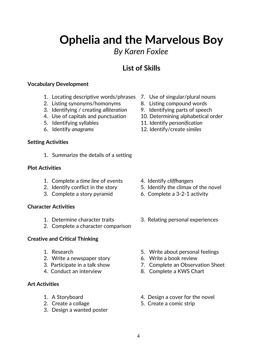## *By Karen Foxlee*

## **List of Skills**

#### **Vocabulary Development**

- 1. Locating descriptive words/phrases 7. Use of singular/plural nouns
- 2. Listing synonyms/homonyms 8. Listing compound words
- 3. Identifying / creating *alliteration* 9. Identifying parts of speech
- 
- 
- 

#### **Setting Activities**

1. Summarize the details of a setting

#### **Plot Activities**

- 1. Complete a *time line* of events 4. Identify *cliffhangers*
- 
- 3. Complete a story pyramid 6. Complete a 3-2-1 activity

#### **Character Activities**

- 
- 2. Complete a character comparison

#### **Creative and Critical Thinking**

- 
- 2. Write a newspaper story 6. Write a book review
- 
- 

#### **Art Activities**

- 
- 
- 3. Design a wanted poster
- 
- 
- 
- 4. Use of capitals and punctuation 10. Determining alphabetical order
- 5. Identifying syllables 11. Identify *personification*
- 6. Identify *anagrams* 12. Identify/create *similes*

- 
- 2. Identify conflict in the story 5. Identify the climax of the novel
	-
- 1. Determine character traits 3. Relating personal experiences
- 1. Research 5. Write about personal feelings
	-
- 3. Participate in a talk show 7. Complete an Observation Sheet
- 4. Conduct an interview 8. Complete a KWS Chart
- 1. A Storyboard **1.** A Storyboard **1.** A Storyboard
- 2. Create a collage 5. Create a comic strip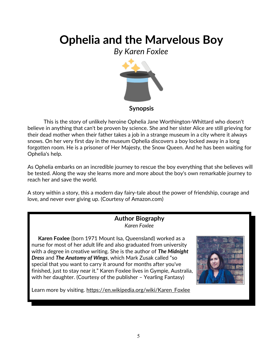*By Karen Foxlee*



This is the story of unlikely heroine Ophelia Jane Worthington-Whittard who doesn't believe in anything that can't be proven by science. She and her sister Alice are still grieving for their dead mother when their father takes a job in a strange museum in a city where it always snows. On her very first day in the museum Ophelia discovers a boy locked away in a long forgotten room. He is a prisoner of Her Majesty, the Snow Queen. And he has been waiting for Ophelia's help.

As Ophelia embarks on an incredible journey to rescue the boy everything that she believes will be tested. Along the way she learns more and more about the boy's own remarkable journey to reach her and save the world.

A story within a story, this a modern day fairy-tale about the power of friendship, courage and love, and never ever giving up. (Courtesy of Amazon.com)

#### **Author Biography** *Karen Foxlee*

 **Karen Foxlee** (born 1971 Mount Isa, Queensland) worked as a nurse for most of her adult life and also graduated from university with a degree in creative writing. She is the author of *The Midnight Dress* and *The Anatomy of Wings*, which Mark Zusak called "so special that you want to carry it around for months after you've finished, just to stay near it." Karen Foxlee lives in Gympie, Australia, with her daughter. (Courtesy of the publisher – Yearling Fantasy)



Learn more by visiting. [https://en.wikipedia.org/wiki/Karen\\_Foxlee](https://en.wikipedia.org/wiki/Karen_Foxlee)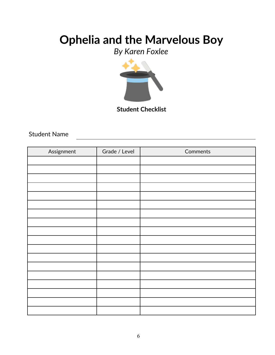*By Karen Foxlee*



### Student Name

| Assignment | Grade / Level | Comments |
|------------|---------------|----------|
|            |               |          |
|            |               |          |
|            |               |          |
|            |               |          |
|            |               |          |
|            |               |          |
|            |               |          |
|            |               |          |
|            |               |          |
|            |               |          |
|            |               |          |
|            |               |          |
|            |               |          |
|            |               |          |
|            |               |          |
|            |               |          |
|            |               |          |
|            |               |          |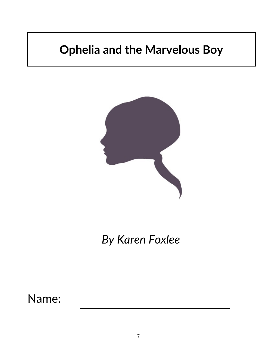

*By Karen Foxlee*

Name: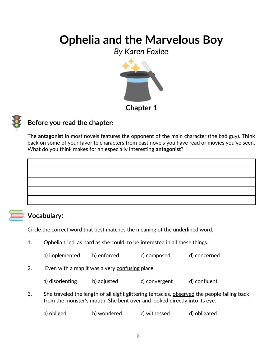*By Karen Foxlee*





### **Before you read the chapter**:

The **antagonist** in most novels features the opponent of the main character (the bad guy). Think back on some of your favorite characters from past novels you have read or movies you've seen. What do you think makes for an especially interesting **antagonist**?



### **Vocabulary:**

Circle the correct word that best matches the meaning of the underlined word.

1. Ophelia tried, as hard as she could, to be interested in all these things.

| a) implemented | b) enforced | c) composed | d) concerned |
|----------------|-------------|-------------|--------------|
|                |             |             |              |

2. Even with a map it was a very confusing place.

| a) disorienting | b) adjusted | c) convergent | d) confluent |
|-----------------|-------------|---------------|--------------|
|-----------------|-------------|---------------|--------------|

3. She traveled the length of all eight glittering tentacles, observed the people falling back from the monster's mouth. She bent over and looked directly into its eye.

```
a) obliged b) wondered c) witnessed d) obligated
```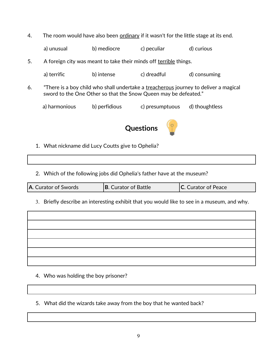| 4. |               |                                                   | The room would have also been ordinary if it wasn't for the little stage at its end. |                                                                                      |
|----|---------------|---------------------------------------------------|--------------------------------------------------------------------------------------|--------------------------------------------------------------------------------------|
|    | a) unusual    | b) mediocre                                       | c) peculiar                                                                          | d) curious                                                                           |
| 5. |               |                                                   | A foreign city was meant to take their minds off terrible things.                    |                                                                                      |
|    | a) terrific   | b) intense                                        | c) dreadful                                                                          | d) consuming                                                                         |
| 6. |               |                                                   | sword to the One Other so that the Snow Queen may be defeated."                      | "There is a boy child who shall undertake a treacherous journey to deliver a magical |
|    | a) harmonious | b) perfidious                                     | c) presumptuous                                                                      | d) thoughtless                                                                       |
|    |               |                                                   | <b>Questions</b>                                                                     |                                                                                      |
|    |               | 1. What nickname did Lucy Coutts give to Ophelia? |                                                                                      |                                                                                      |
|    |               |                                                   |                                                                                      |                                                                                      |
|    |               |                                                   | 2. Which of the following jobs did Ophelia's father have at the museum?              |                                                                                      |

| A. Curator of Swords<br><b>B.</b> Curator of Battle<br><b>C.</b> Curator of Peace |  |
|-----------------------------------------------------------------------------------|--|
|-----------------------------------------------------------------------------------|--|

3. Briefly describe an interesting exhibit that you would like to see in a museum, and why.

 $\overline{\phantom{a}}$ 

4. Who was holding the boy prisoner?

 $\sqrt{ }$ 

5. What did the wizards take away from the boy that he wanted back?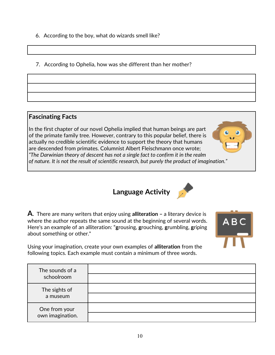- 6. According to the boy, what do wizards smell like?
- 7. According to Ophelia, how was she different than her mother?

#### **Fascinating Facts**

In the first chapter of our novel Ophelia implied that human beings are part of the primate family tree. However, contrary to this popular belief, there is actually no credible scientific evidence to support the theory that humans are descended from primates. Columnist Albert Fleischmann once wrote; *"The Darwinian theory of descent has not a single fact to confirm it in the realm of nature. It is not the result of scientific research, but purely the product of imagination."*

**Language Activity**

**A**. There are many writers that enjoy using **alliteration –** a literary device is where the author repeats the same sound at the beginning of several words. Here's an example of an alliteration: "**g**rousing, **g**rouching, **g**rumbling, **g**riping about something or other."

Using your imagination, create your own examples of **alliteration** from the following topics. Each example must contain a minimum of three words.

| The sounds of a<br>schoolroom     |  |
|-----------------------------------|--|
| The sights of<br>a museum         |  |
| One from your<br>own imagination. |  |





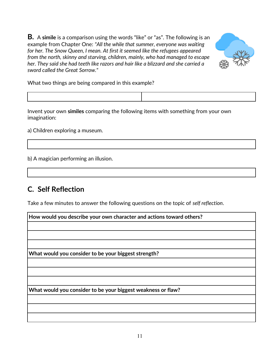**B.** A **simile** is a comparison using the words "like" or "as". The following is an example from Chapter One: *"All the while that summer, everyone was waiting for her. The Snow Queen, I mean. At first it seemed like the refugees appeared from the north, skinny and starving, children, mainly, who had managed to escape her. They said she had teeth like razors and hair like a blizzard and she carried a sword called the Great Sorrow."*



What two things are being compared in this example?

Invent your own **similes** comparing the following items with something from your own imagination:

a) Children exploring a museum.

b) A magician performing an illusion.

### **C. Self Reflection**

Take a few minutes to answer the following questions on the topic of *self reflection*.

| How would you describe your own character and actions toward others? |  |  |
|----------------------------------------------------------------------|--|--|
|                                                                      |  |  |
|                                                                      |  |  |
|                                                                      |  |  |
| What would you consider to be your biggest strength?                 |  |  |
|                                                                      |  |  |
|                                                                      |  |  |
| What would you consider to be your biggest weakness or flaw?         |  |  |
|                                                                      |  |  |
|                                                                      |  |  |
|                                                                      |  |  |